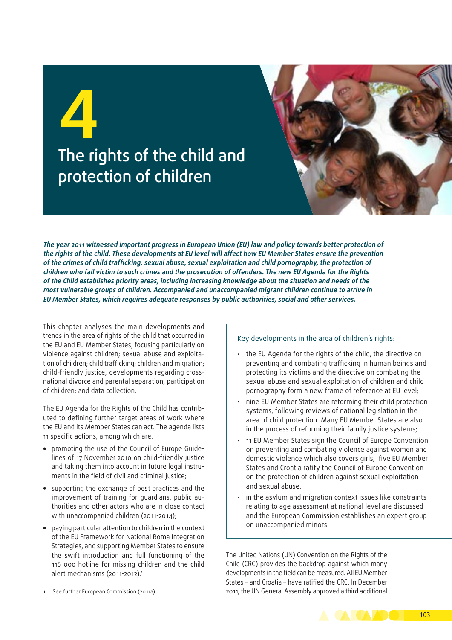# **4** The rights of the child and protection of children



**The year 2011 witnessed important progress in European Union (EU) law and policy towards better protection of the rights of the child. These developments at EU level will affect how EU Member States ensure the prevention of the crimes of child trafficking, sexual abuse, sexual exploitation and child pornography, the protection of children who fall victim to such crimes and the prosecution of offenders. The new EU Agenda for the Rights of the Child establishes priority areas, including increasing knowledge about the situation and needs of the most vulnerable groups of children. Accompanied and unaccompanied migrant children continue to arrive in EU Member States, which requires adequate responses by public authorities, social and other services.**

This chapter analyses the main developments and trends in the area of rights of the child that occurred in the EU and EU Member States, focusing particularly on violence against children; sexual abuse and exploitation of children; child trafficking; children and migration; child-friendly justice; developments regarding crossnational divorce and parental separation; participation of children; and data collection.

The EU Agenda for the Rights of the Child has contributed to defining further target areas of work where the EU and its Member States can act. The agenda lists 11 specific actions, among which are:

- promoting the use of the Council of Europe Guidelines of 17 November 2010 on child-friendly justice and taking them into account in future legal instruments in the field of civil and criminal justice;
- supporting the exchange of best practices and the improvement of training for quardians, public authorities and other actors who are in close contact with unaccompanied children (2011-2014);
- paying particular attention to children in the context of the EU Framework for National Roma Integration Strategies, and supporting Member States to ensure the swift introduction and full functioning of the 116 000 hotline for missing children and the child alert mechanisms (2011-2012).<sup>1</sup>

#### Key developments in the area of children's rights:

- the EU Agenda for the rights of the child, the directive on preventing and combating trafficking in human beings and protecting its victims and the directive on combating the sexual abuse and sexual exploitation of children and child pornography form a new frame of reference at EU level;
- nine EU Member States are reforming their child protection systems, following reviews of national legislation in the area of child protection. Many EU Member States are also in the process of reforming their family justice systems;
- 11 EU Member States sign the Council of Europe Convention on preventing and combating violence against women and domestic violence which also covers girls; five EU Member States and Croatia ratify the Council of Europe Convention on the protection of children against sexual exploitation and sexual abuse.
- in the asylum and migration context issues like constraints relating to age assessment at national level are discussed and the European Commission establishes an expert group on unaccompanied minors.

The United Nations (UN) Convention on the Rights of the Child (CRC) provides the backdrop against which many developments in the field can be measured. All EU Member States – and Croatia – have ratified the CRC. In December 2011, the UN General Assembly approved a third additional



<sup>1</sup> See further European Commission (2011a).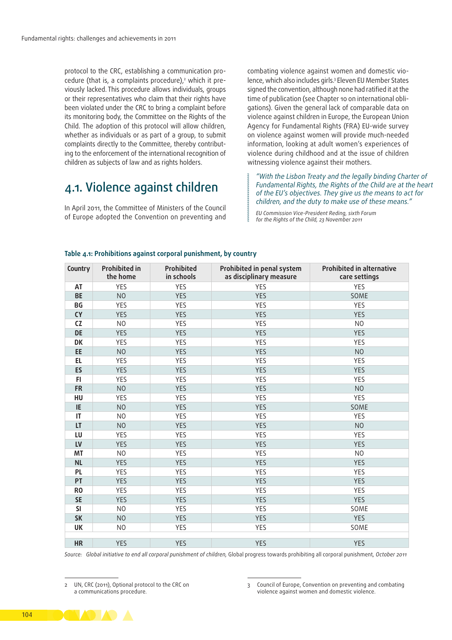protocol to the CRC, establishing a communication procedure (that is, a complaints procedure),<sup>2</sup> which it previously lacked. This procedure allows individuals, groups or their representatives who claim that their rights have been violated under the CRC to bring a complaint before its monitoring body, the Committee on the Rights of the Child. The adoption of this protocol will allow children, whether as individuals or as part of a group, to submit complaints directly to the Committee, thereby contributing to the enforcement of the international recognition of children as subjects of law and as rights holders.

## 4.1. Violence against children

In April 2011, the Committee of Ministers of the Council of Europe adopted the Convention on preventing and combating violence against women and domestic violence, which also includes girls.3 Eleven EU Member States signed the convention, although none had ratified it at the time of publication (see Chapter 10 on international obligations). Given the general lack of comparable data on violence against children in Europe, the European Union Agency for Fundamental Rights (FRA) EU‑wide survey on violence against women will provide much‑needed information, looking at adult women's experiences of violence during childhood and at the issue of children witnessing violence against their mothers.

*"With the Lisbon Treaty and the legally binding Charter of Fundamental Rights, the Rights of the Child are at the heart of the EU's objectives. They give us the means to act for children, and the duty to make use of these means."*

*EU Commission Vice‑President Reding, sixth Forum for the Rights of the Child, 23 November 2011*

| Country                | <b>Prohibited in</b><br>the home | <b>Prohibited</b><br>in schools | Prohibited in penal system<br>as disciplinary measure | <b>Prohibited in alternative</b><br>care settings |
|------------------------|----------------------------------|---------------------------------|-------------------------------------------------------|---------------------------------------------------|
| AT                     | YES                              | YES                             | YES                                                   | YES                                               |
| <b>BE</b>              | N <sub>O</sub>                   | <b>YES</b>                      | <b>YES</b>                                            | SOME                                              |
| BG                     | <b>YES</b>                       | YES                             | <b>YES</b>                                            | YES                                               |
| <b>CY</b>              | <b>YES</b>                       | <b>YES</b>                      | <b>YES</b>                                            | <b>YES</b>                                        |
| <b>CZ</b>              | N <sub>O</sub>                   | YES                             | YES                                                   | N <sub>0</sub>                                    |
| <b>DE</b>              | <b>YES</b>                       | <b>YES</b>                      | <b>YES</b>                                            | <b>YES</b>                                        |
| <b>DK</b>              | <b>YES</b>                       | <b>YES</b>                      | <b>YES</b>                                            | YES                                               |
| EE                     | <b>NO</b>                        | <b>YES</b>                      | <b>YES</b>                                            | N <sub>O</sub>                                    |
| EL.                    | <b>YES</b>                       | YES                             | YES                                                   | YES                                               |
| ES                     | <b>YES</b>                       | <b>YES</b>                      | <b>YES</b>                                            | <b>YES</b>                                        |
| FI.                    | <b>YES</b>                       | YES                             | <b>YES</b>                                            | YES                                               |
| <b>FR</b>              | N <sub>O</sub>                   | <b>YES</b>                      | <b>YES</b>                                            | N <sub>O</sub>                                    |
| HU                     | <b>YES</b>                       | YES                             | <b>YES</b>                                            | <b>YES</b>                                        |
| IE                     | N <sub>O</sub>                   | <b>YES</b>                      | <b>YES</b>                                            | SOME                                              |
| $\mathsf{I}\mathsf{T}$ | N <sub>O</sub>                   | YES                             | <b>YES</b>                                            | YES                                               |
| LT                     | N <sub>O</sub>                   | <b>YES</b>                      | <b>YES</b>                                            | N <sub>O</sub>                                    |
| LU                     | <b>YES</b>                       | YES                             | <b>YES</b>                                            | YES                                               |
| LV                     | <b>YES</b>                       | <b>YES</b>                      | <b>YES</b>                                            | <b>YES</b>                                        |
| MT                     | N <sub>O</sub>                   | YES                             | YES                                                   | N <sub>O</sub>                                    |
| <b>NL</b>              | <b>YES</b>                       | <b>YES</b>                      | <b>YES</b>                                            | <b>YES</b>                                        |
| <b>PL</b>              | <b>YES</b>                       | YES                             | YES                                                   | YES                                               |
| PT                     | <b>YES</b>                       | <b>YES</b>                      | <b>YES</b>                                            | <b>YES</b>                                        |
| R <sub>0</sub>         | <b>YES</b>                       | YES                             | YES                                                   | YES                                               |
| <b>SE</b>              | <b>YES</b>                       | <b>YES</b>                      | <b>YES</b>                                            | <b>YES</b>                                        |
| <b>SI</b>              | N <sub>O</sub>                   | YES                             | YES                                                   | SOME                                              |
| <b>SK</b>              | <b>NO</b>                        | <b>YES</b>                      | <b>YES</b>                                            | <b>YES</b>                                        |
| UK                     | N <sub>O</sub>                   | YES                             | YES                                                   | SOME                                              |
| <b>HR</b>              | <b>YES</b>                       | <b>YES</b>                      | <b>YES</b>                                            | <b>YES</b>                                        |

#### **Table 4.1: Prohibitions against corporal punishment, by country**

*Source: Global initiative to end all corporal punishment of children,* Global progress towards prohibiting all corporal punishment*, October 2011*





<sup>2</sup> UN, CRC (2011), Optional protocol to the CRC on a communications procedure.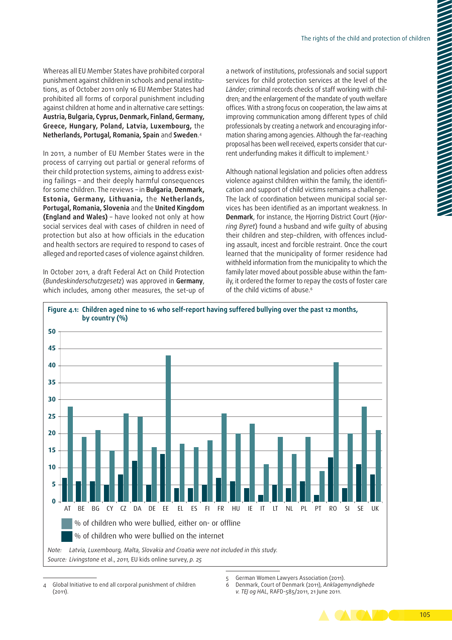Whereas all EU Member States have prohibited corporal punishment against children in schools and penal institutions, as of October 2011 only 16 EU Member States had prohibited all forms of corporal punishment including against children at home and in alternative care settings: **Austria, Bulgaria, Cyprus, Denmark, Finland, Germany, Greece, Hungary, Poland, Latvia, Luxembourg,** the **Netherlands, Portugal, Romania, Spain** and **Sweden**. 4

In 2011, a number of EU Member States were in the process of carrying out partial or general reforms of their child protection systems, aiming to address existing failings – and their deeply harmful consequences for some children. The reviews – in **Bulgaria**, **Denmark, Estonia, Germany, Lithuania,** the **Netherlands, Portugal, Romania, Slovenia** and the **United Kingdom (England and Wales)** – have looked not only at how social services deal with cases of children in need of protection but also at how officials in the education and health sectors are required to respond to cases of alleged and reported cases of violence against children.

In October 2011, a draft Federal Act on Child Protection (*Bundeskinderschutzgesetz*) was approved in **Germany**, which includes, among other measures, the set-up of a network of institutions, professionals and social support services for child protection services at the level of the *Länder*; criminal records checks of staff working with chil‑ dren; and the enlargement of the mandate of youth welfare offices. With a strong focus on cooperation, the law aims at improving communication among different types of child professionals by creating a network and encouraging information sharing among agencies. Although the far‑reaching proposal has been well received, experts consider that current underfunding makes it difficult to implement.5

Although national legislation and policies often address violence against children within the family, the identification and support of child victims remains a challenge. The lack of coordination between municipal social services has been identified as an important weakness. In **Denmark**, for instance, the Hjorring District Court (*Hjor‑ ring Byret*) found a husband and wife guilty of abusing their children and step-children, with offences including assault, incest and forcible restraint. Once the court learned that the municipality of former residence had withheld information from the municipality to which the family later moved about possible abuse within the family, it ordered the former to repay the costs of foster care of the child victims of abuse.<sup>6</sup>



<sup>4</sup> Global Initiative to end all corporal punishment of children (2011).

6 [Denmark](http://Denmark), Court of Denmark (2011), *Anklagemyndighede v. TEJ og HAL*, RAFD-585/2011, 21 June 2011.



<sup>5</sup> German Women Lawyers Association (2011).<br>6 Denmark Court of Denmark (2011) Anklager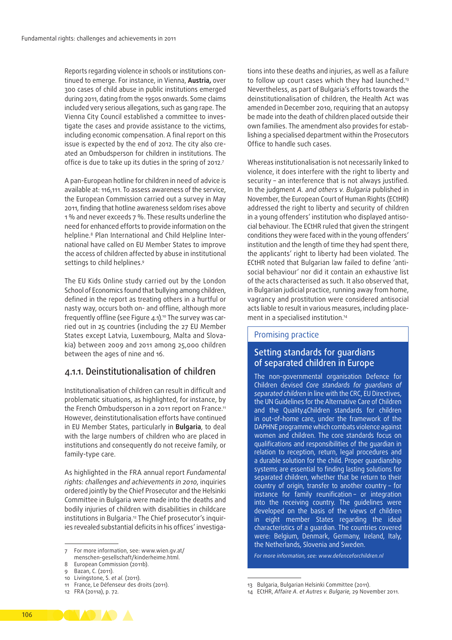Reports regarding violence in schools or institutions continued to emerge. For instance, in Vienna, **Austria,** over 300 cases of child abuse in public institutions emerged during 2011, dating from the 1950s onwards. Some claims included very serious allegations, such as gang rape. The Vienna City Council established a committee to investigate the cases and provide assistance to the victims, including economic compensation. A final report on this issue is expected by the end of 2012. The city also created an Ombudsperson for children in institutions. The office is due to take up its duties in the spring of 2012.7

A pan‑European hotline for children in need of advice is available at: 116,111. To assess awareness of the service, the European Commission carried out a survey in May 2011, finding that hotline awareness seldom rises above 1 % and never exceeds 7 %. These results underline the need for enhanced efforts to provide information on the helpline.<sup>8</sup> Plan International and Child Helpline International have called on EU Member States to improve the access of children affected by abuse in institutional settings to child helplines.<sup>9</sup>

The EU Kids Online study carried out by the London School of Economics found that bullying among children, defined in the report as treating others in a hurtful or nasty way, occurs both on- and offline, although more frequently offline (see Figure 4.1).<sup>10</sup> The survey was carried out in 25 countries (including the 27 EU Member States except Latvia, Luxembourg, Malta and Slovakia) between 2009 and 2011 among 25,000 children between the ages of nine and 16.

#### 4.1.1. Deinstitutionalisation of children

Institutionalisation of children can result in difficult and problematic situations, as highlighted, for instance, by the French Ombudsperson in a 2011 report on France.11 However, deinstitutionalisation efforts have continued in EU Member States, particularly in **Bulgaria**, to deal with the large numbers of children who are placed in institutions and consequently do not receive family, or family-type care.

As highlighted in the FRA annual report *Fundamental rights: challenges and achievements in 2010*, inquiries ordered jointly by the Chief Prosecutor and the Helsinki Committee in Bulgaria were made into the deaths and bodily injuries of children with disabilities in childcare institutions in Bulgaria.<sup>12</sup> The Chief prosecutor's inquiries revealed substantial deficits in his offices' investigations into these deaths and injuries, as well as a failure to follow up court cases which they had launched.<sup>13</sup> Nevertheless, as part of Bulgaria's efforts towards the deinstitutionalisation of children, the Health Act was amended in December 2010, requiring that an autopsy be made into the death of children placed outside their own families. The amendment also provides for establishing a specialised department within the Prosecutors Office to handle such cases.

Whereas institutionalisation is not necessarily linked to violence, it does interfere with the right to liberty and security – an interference that is not always justified. In the judgment *A. and others v. Bulgaria* published in November, the European Court of Human Rights (ECtHR) addressed the right to liberty and security of children in a young offenders' institution who displayed antisocial behaviour. The ECtHR ruled that given the stringent conditions they were faced with in the young offenders' institution and the length of time they had spent there, the applicants' right to liberty had been violated. The ECtHR noted that Bulgarian law failed to define 'anti‑ social behaviour' nor did it contain an exhaustive list of the acts characterised as such. It also observed that, in Bulgarian judicial practice, running away from home, vagrancy and prostitution were considered antisocial acts liable to result in various measures, including placement in a specialised institution.14

#### Promising practice

#### Setting standards for guardians of separated children in Europe

The non-governmental organisation Defence for Children devised *Core standards for guardians of separated children* in line with the CRC, EU Directives, the UN Guidelines for the Alternative Care of Children and the Quality4Children standards for children in out-of-home care, under the framework of the DAPHNE programme which combats violence against women and children. The core standards focus on qualifications and responsibilities of the guardian in relation to reception, return, legal procedures and a durable solution for the child. Proper guardianship systems are essential to finding lasting solutions for separated children, whether that be return to their country of origin, transfer to another country – for instance for family reunification – or integration into the receiving country. The guidelines were developed on the basis of the views of children in eight member States regarding the ideal characteristics of a guardian. The countries covered were: Belgium, Denmark, Germany, Ireland, Italy, the Netherlands, Slovenia and Sweden.

*For more information, see: [www.defenceforchildren.nl](http://www.defenceforchildren.nl)*



<sup>7</sup> For more information, see: [www.wien.gv.at/](http://www.wien.gv.at/menschen<2011>gesellschaft/kinderheime.html)

[menschen‑gesellschaft/kinderheime.html](http://www.wien.gv.at/menschen<2011>gesellschaft/kinderheime.html).

<sup>8</sup> European Commission (2011b). Bazan, C. (2011).

<sup>10</sup> Livingstone, S. *et al.* (2011). 11 France, Le Défenseur des droits (2011).

<sup>12</sup> FRA (2011a), p. 72.

<sup>13</sup> Bulgaria, Bulgarian Helsinki Committee (2011).

<sup>14</sup> ECtHR, *Affaire A. et Autres v. Bulgarie,* 29 November 2011.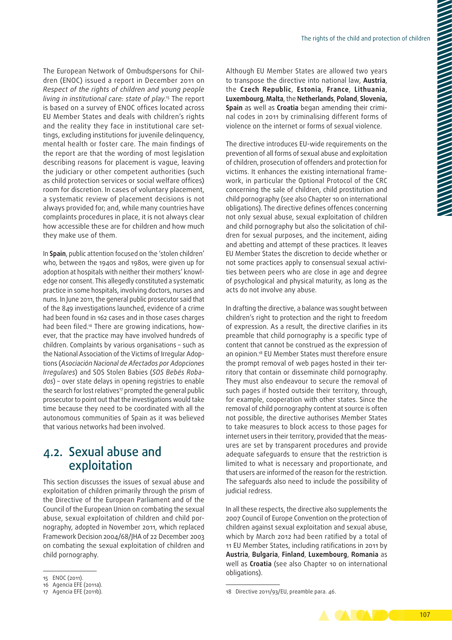The European Network of Ombudspersons for Children (ENOC) issued a report in December 2011 on *Respect of the rights of children and young people living in institutional care: state of play*. 15 The report is based on a survey of ENOC offices located across EU Member States and deals with children's rights and the reality they face in institutional care settings, excluding institutions for juvenile delinquency, mental health or foster care. The main findings of the report are that the wording of most legislation describing reasons for placement is vague, leaving the judiciary or other competent authorities (such as child protection services or social welfare offices) room for discretion. In cases of voluntary placement, a systematic review of placement decisions is not always provided for; and, while many countries have complaints procedures in place, it is not always clear how accessible these are for children and how much they make use of them.

In **Spain**, public attention focused on the 'stolen children' who, between the 1940s and 1980s, were given up for adoption at hospitals with neither their mothers' knowledge nor consent. This allegedly constituted a systematic practice in some hospitals, involving doctors, nurses and nuns. In June 2011, the general public prosecutor said that of the 849 investigations launched, evidence of a crime had been found in 162 cases and in those cases charges had been filed.<sup>16</sup> There are growing indications, however, that the practice may have involved hundreds of children. Complaints by various organisations – such as the National Association of the Victims of Irregular Adoptions (*Asociación Nacional de Afectados por Adopciones Irregulares*) and SOS Stolen Babies (*SOS Bebés Roba‑ dos*) – over state delays in opening registries to enable the search for lost relatives<sup>17</sup> prompted the general public prosecutor to point out that the investigations would take time because they need to be coordinated with all the autonomous communities of Spain as it was believed that various networks had been involved.

## 4.2. Sexual abuse and exploitation

This section discusses the issues of sexual abuse and exploitation of children primarily through the prism of the Directive of the European Parliament and of the Council of the European Union on combating the sexual abuse, sexual exploitation of children and child pornography, adopted in November 2011, which replaced Framework Decision 2004/68/JHA of 22 December 2003 on combating the sexual exploitation of children and child pornography.

Although EU Member States are allowed two years to transpose the directive into national law, **Austria**, the **Czech Republic**, **Estonia**, **France**, **Lithuania**, **Luxembourg**, **Malta**, the **Netherlands**, **Poland**, **Slovenia, Spain** as well as **Croatia** began amending their crimi‑ nal codes in 2011 by criminalising different forms of violence on the internet or forms of sexual violence.

The directive introduces EU‑wide requirements on the prevention of all forms of sexual abuse and exploitation of children, prosecution of offenders and protection for victims. It enhances the existing international frame‑ work, in particular the Optional Protocol of the CRC concerning the sale of children, child prostitution and child pornography (see also Chapter 10 on international obligations). The directive defines offences concerning not only sexual abuse, sexual exploitation of children and child pornography but also the solicitation of children for sexual purposes, and the incitement, aiding and abetting and attempt of these practices. It leaves EU Member States the discretion to decide whether or not some practices apply to consensual sexual activities between peers who are close in age and degree of psychological and physical maturity, as long as the acts do not involve any abuse.

In drafting the directive, a balance was sought between children's right to protection and the right to freedom of expression. As a result, the directive clarifies in its preamble that child pornography is a specific type of content that cannot be construed as the expression of an opinion.<sup>18</sup> EU Member States must therefore ensure the prompt removal of web pages hosted in their territory that contain or disseminate child pornography. They must also endeavour to secure the removal of such pages if hosted outside their territory, through, for example, cooperation with other states. Since the removal of child pornography content at source is often not possible, the directive authorises Member States to take measures to block access to those pages for internet users in their territory, provided that the measures are set by transparent procedures and provide adequate safeguards to ensure that the restriction is limited to what is necessary and proportionate, and that users are informed of the reason for the restriction. The safeguards also need to include the possibility of judicial redress.

In all these respects, the directive also supplements the 2007 Council of Europe Convention on the protection of children against sexual exploitation and sexual abuse, which by March 2012 had been ratified by a total of 11 EU Member States, including ratifications in 2011 by **Austria**, **Bulgaria**, **Finland**, **Luxembourg**, **Romania** as well as **Croatia** (see also Chapter 10 on international obligations).

<sup>18</sup> Directive 2011/93/EU, preamble para. 46.



<sup>15</sup> ENOC (2011).

<sup>16</sup> Agencia EFE (2011a).

<sup>17</sup> Agencia EFE (2011b).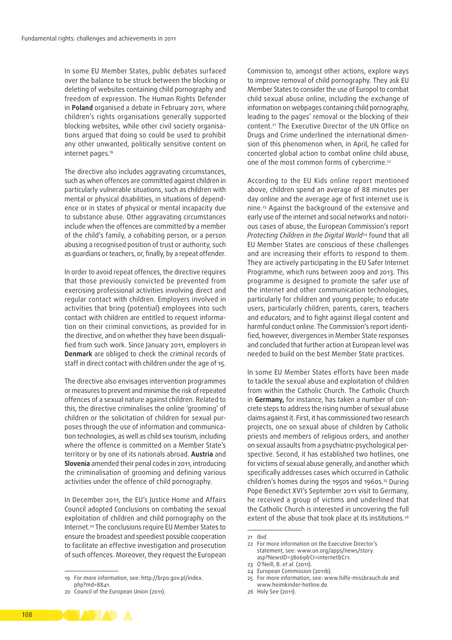In some EU Member States, public debates surfaced over the balance to be struck between the blocking or deleting of websites containing child pornography and freedom of expression. The Human Rights Defender in **Poland** organised a debate in February 2011, where children's rights organisations generally supported blocking websites, while other civil society organisations argued that doing so could be used to prohibit any other unwanted, politically sensitive content on internet pages.19

The directive also includes aggravating circumstances, such as when offences are committed against children in particularly vulnerable situations, such as children with mental or physical disabilities, in situations of dependence or in states of physical or mental incapacity due to substance abuse. Other aggravating circumstances include when the offences are committed by a member of the child's family, a cohabiting person, or a person abusing a recognised position of trust or authority, such as guardians or teachers, or, finally, by a repeat offender.

In order to avoid repeat offences, the directive requires that those previously convicted be prevented from exercising professional activities involving direct and regular contact with children. Employers involved in activities that bring (potential) employees into such contact with children are entitled to request information on their criminal convictions, as provided for in the directive, and on whether they have been disqualified from such work. Since January 2011, employers in **Denmark** are obliged to check the criminal records of staff in direct contact with children under the age of 15.

The directive also envisages intervention programmes or measures to prevent and minimise the risk of repeated offences of a sexual nature against children. Related to this, the directive criminalises the online 'grooming' of children or the solicitation of children for sexual purposes through the use of information and communication technologies, as well as child sex tourism, including where the offence is committed on a Member State's territory or by one of its nationals abroad. **Austria** and **Slovenia** amended their penal codes in 2011, introducing the criminalisation of grooming and defining various activities under the offence of child pornography.

In December 2011, the EU's Justice Home and Affairs Council adopted Conclusions on combating the sexual exploitation of children and child pornography on the Internet.20 The conclusions require EU Member States to ensure the broadest and speediest possible cooperation to facilitate an effective investigation and prosecution of such offences. Moreover, they request the European

19 For more information, see: [http://brpo.gov.pl/index.](http://brpo.gov.pl/index.php?md=8841) [php?md=8841.](http://brpo.gov.pl/index.php?md=8841)

Commission to, amongst other actions, explore ways to improve removal of child pornography. They ask EU Member States to consider the use of Europol to combat child sexual abuse online, including the exchange of information on webpages containing child pornography, leading to the pages' removal or the blocking of their content.21 The Executive Director of the UN Office on Drugs and Crime underlined the international dimension of this phenomenon when, in April, he called for concerted global action to combat online child abuse, one of the most common forms of cybercrime.<sup>22</sup>

According to the EU Kids online report mentioned above, children spend an average of 88 minutes per day online and the average age of first internet use is nine.23 Against the background of the extensive and early use of the internet and social networks and notorious cases of abuse, the European Commission's report *Protecting Children in the Digital World*24 found that all EU Member States are conscious of these challenges and are increasing their efforts to respond to them. They are actively participating in the EU Safer Internet Programme, which runs between 2009 and 2013. This programme is designed to promote the safer use of the internet and other communication technologies, particularly for children and young people; to educate users, particularly children, parents, carers, teachers and educators; and to fight against illegal content and harmful conduct online. The Commission's report identified, however, divergences in Member State responses and concluded that further action at European level was needed to build on the best Member State practices.

In some EU Member States efforts have been made to tackle the sexual abuse and exploitation of children from within the Catholic Church. The Catholic Church in Germany, for instance, has taken a number of concrete steps to address the rising number of sexual abuse claims against it. First, it has commissioned two research projects, one on sexual abuse of children by Catholic priests and members of religious orders, and another on sexual assaults from a psychiatric‑psychological per‑ spective. Second, it has established two hotlines, one for victims of sexual abuse generally, and another which specifically addresses cases which occurred in Catholic children's homes during the 1950s and 1960s.<sup>25</sup> During Pope Benedict XVI's September 2011 visit to Germany, he received a group of victims and underlined that the Catholic Church is interested in uncovering the full extent of the abuse that took place at its institutions.<sup>26</sup>

- 23 O'Neill, B. *et al.* (2011).
- 24 European Commission (2011b).
- 25 For more information, see: www.hilfe-missbrauch.de and [www.heimkinder‑hotline.de](http://www.heimkinder<2011>hotline.de).
- 26 Holy See (2011).



<sup>20</sup> Council of the European Union (2011).

<sup>21</sup> *Ibid.*

<sup>22</sup> For more information on the Executive Director's statement, see: [www.un.org/apps/news/story.](http://www.un.org/apps/news/story.asp?NewsID=38069&Cr=internet&Cr1) [asp?NewsID=38069&Cr=internet&Cr1](http://www.un.org/apps/news/story.asp?NewsID=38069&Cr=internet&Cr1).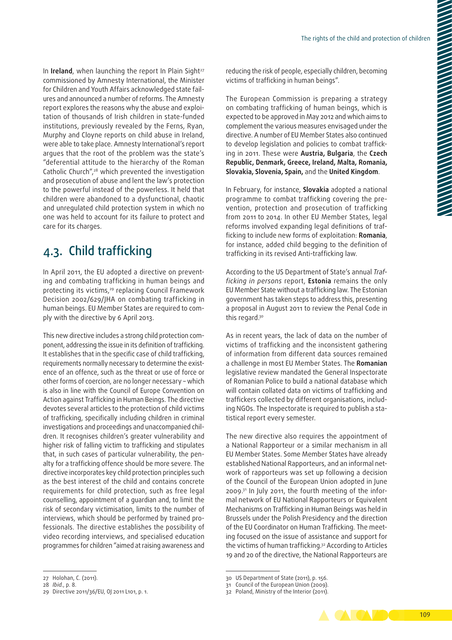In **Ireland**, when launching the report In Plain Sight<sup>27</sup> commissioned by Amnesty International, the Minister for Children and Youth Affairs acknowledged state failures and announced a number of reforms. The Amnesty report explores the reasons why the abuse and exploitation of thousands of Irish children in state-funded institutions, previously revealed by the Ferns, Ryan, Murphy and Cloyne reports on child abuse in Ireland, were able to take place. Amnesty International's report argues that the root of the problem was the state's "deferential attitude to the hierarchy of the Roman Catholic Church",28 which prevented the investigation and prosecution of abuse and lent the law's protection to the powerful instead of the powerless. It held that children were abandoned to a dysfunctional, chaotic and unregulated child protection system in which no one was held to account for its failure to protect and care for its charges.

## 4.3. Child trafficking

In April 2011, the EU adopted a directive on preventing and combating trafficking in human beings and protecting its victims,<sup>29</sup> replacing Council Framework Decision 2002/629/JHA on combating trafficking in human beings. EU Member States are required to comply with the directive by 6 April 2013.

This new directive includes a strong child protection component, addressing the issue in its definition of trafficking. It establishes that in the specific case of child trafficking, requirements normally necessary to determine the existence of an offence, such as the threat or use of force or other forms of coercion, are no longer necessary – which is also in line with the Council of Europe Convention on Action against Trafficking in Human Beings. The directive devotes several articles to the protection of child victims of trafficking, specifically including children in criminal investigations and proceedings and unaccompanied children. It recognises children's greater vulnerability and higher risk of falling victim to trafficking and stipulates that, in such cases of particular vulnerability, the penalty for a trafficking offence should be more severe. The directive incorporates key child protection principles such as the best interest of the child and contains concrete requirements for child protection, such as free legal counselling, appointment of a guardian and, to limit the risk of secondary victimisation, limits to the number of interviews, which should be performed by trained professionals. The directive establishes the possibility of video recording interviews, and specialised education programmes for children "aimed at raising awareness and reducing the risk of people, especially children, becoming victims of trafficking in human beings".

The European Commission is preparing a strategy on combating trafficking of human beings, which is expected to be approved in May 2012 and which aims to complement the various measures envisaged under the directive. A number of EU Member States also continued to develop legislation and policies to combat trafficking in 2011. These were **Austria, Bulgaria**, the **Czech Republic, Denmark, Greece, Ireland, Malta, Romania, Slovakia, Slovenia, Spain,** and the **United Kingdom**.

In February, for instance, **Slovakia** adopted a national programme to combat trafficking covering the pre‑ vention, protection and prosecution of trafficking from 2011 to 2014. In other EU Member States, legal reforms involved expanding legal definitions of trafficking to include new forms of exploitation: **Romania**, for instance, added child begging to the definition of trafficking in its revised Anti‑trafficking law.

According to the US Department of State's annual *Traf‑ ficking in persons* report, **Estonia** remains the only EU Member State without a trafficking law. The Estonian government has taken steps to address this, presenting a proposal in August 2011 to review the Penal Code in this regard.<sup>30</sup>

As in recent years, the lack of data on the number of victims of trafficking and the inconsistent gathering of information from different data sources remained a challenge in most EU Member States. The **Romanian** legislative review mandated the General Inspectorate of Romanian Police to build a national database which will contain collated data on victims of trafficking and traffickers collected by different organisations, including NGOs. The Inspectorate is required to publish a statistical report every semester.

The new directive also requires the appointment of a National Rapporteur or a similar mechanism in all EU Member States. Some Member States have already established National Rapporteurs, and an informal network of rapporteurs was set up following a decision of the Council of the European Union adopted in June  $2009$ .<sup>31</sup> In July 2011, the fourth meeting of the informal network of EU National Rapporteurs or Equivalent Mechanisms on Trafficking in Human Beings was held in Brussels under the Polish Presidency and the direction of the EU Coordinator on Human Trafficking. The meeting focused on the issue of assistance and support for the victims of human trafficking.32 According to Articles 19 and 20 of the directive, the National Rapporteurs are



<sup>27</sup> Holohan, C. (2011).

<sup>28</sup> *Ibid.*, p. 8.

<sup>29</sup> Directive 2011/36/EU, OJ 2011 L101, p. 1.

<sup>30</sup> US Department of State (2011), [p. 156.](http://www.state.gov/g/tip)

<sup>31</sup> Council of the European Union (2009).

<sup>32</sup> Poland, Ministry of the Interior (2011).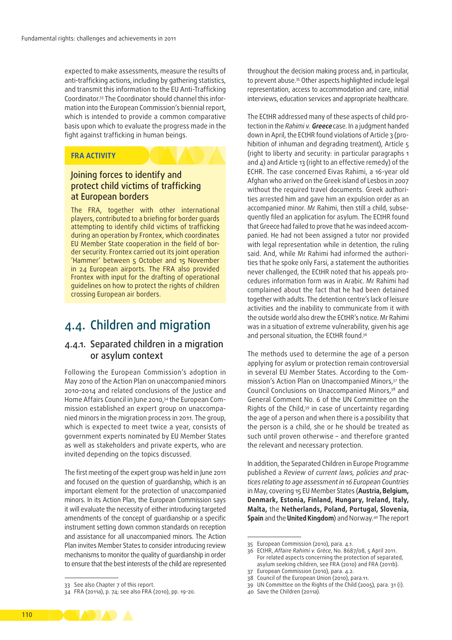expected to make assessments, measure the results of anti-trafficking actions, including by gathering statistics, and transmit this information to the EU Anti‑Trafficking Coordinator.33 The Coordinator should channel this infor‑ mation into the European Commission's biennial report, which is intended to provide a common comparative basis upon which to evaluate the progress made in the fight against trafficking in human beings.

#### **FRA ACTIVITY**

#### Joining forces to identify and protect child victims of trafficking at European borders

The FRA, together with other international players, contributed to a briefing for border guards attempting to identify child victims of trafficking during an operation by Frontex, which coordinates EU Member State cooperation in the field of border security. Frontex carried out its joint operation 'Hammer' between 5 October and 15 November in 24 European airports. The FRA also provided Frontex with input for the drafting of operational guidelines on how to protect the rights of children crossing European air borders.

## 4.4. Children and migration

#### 4.4.1. Separated children in a migration or asylum context

Following the European Commission's adoption in May 2010 of the Action Plan on unaccompanied minors 2010–2014 and related conclusions of the Justice and Home Affairs Council in June 2010,<sup>34</sup> the European Commission established an expert group on unaccompa‑ nied minors in the migration process in 2011. The group, which is expected to meet twice a year, consists of government experts nominated by EU Member States as well as stakeholders and private experts, who are invited depending on the topics discussed.

The first meeting of the expert group was held in June 2011 and focused on the question of guardianship, which is an important element for the protection of unaccompanied minors. In its Action Plan, the European Commission says it will evaluate the necessity of either introducing targeted amendments of the concept of guardianship or a specific instrument setting down common standards on reception and assistance for all unaccompanied minors. The Action Plan invites Member States to consider introducing review mechanisms to monitor the quality of guardianship in order to ensure that the best interests of the child are represented throughout the decision making process and, in particular, to prevent abuse.35 Other aspects highlighted include legal representation, access to accommodation and care, initial interviews, education services and appropriate healthcare.

The ECtHR addressed many of these aspects of child protection in the *Rahimi v.* **Greece** case. In a judgment handed down in April, the ECtHR found violations of Article 3 (prohibition of inhuman and degrading treatment), Article 5 (right to liberty and security: in particular paragraphs 1 and 4) and Article 13 (right to an effective remedy) of the ECHR. The case concerned Eivas Rahimi, a 16-year old Afghan who arrived on the Greek island of Lesbos in 2007 without the required travel documents. Greek authorities arrested him and gave him an expulsion order as an accompanied minor. Mr Rahimi, then still a child, subsequently filed an application for asylum. The ECtHR found that Greece had failed to prove that he was indeed accompanied. He had not been assigned a tutor nor provided with legal representation while in detention, the ruling said. And, while Mr Rahimi had informed the authorities that he spoke only Farsi, a statement the authorities never challenged, the ECtHR noted that his appeals procedures information form was in Arabic. Mr Rahimi had complained about the fact that he had been detained together with adults. The detention centre's lack of leisure activities and the inability to communicate from it with the outside world also drew the ECtHR's notice. Mr Rahimi was in a situation of extreme vulnerability, given his age and personal situation, the ECtHR found.<sup>36</sup>

The methods used to determine the age of a person applying for asylum or protection remain controversial in several EU Member States. According to the Commission's Action Plan on Unaccompanied Minors,37 the Council Conclusions on Unaccompanied Minors,38 and General Comment No. 6 of the UN Committee on the Rights of the Child, $39$  in case of uncertainty regarding the age of a person and when there is a possibility that the person is a child, she or he should be treated as such until proven otherwise – and therefore granted the relevant and necessary protection.

In addition, the Separated Children in Europe Programme published a *Review of current laws, policies and prac‑ tices relating to age assessment in 16 European Countries* in May, covering 15 EU Member States (**Austria, Belgium, Denmark, Estonia, Finland, Hungary, Ireland, Italy, Malta,** the **Netherlands, Poland, Portugal, Slovenia, Spain** and the **United Kingdom**) and Norway.40 The report

40 Save the Children (2011a).



<sup>33</sup> See also Chapter 7 of this report.

<sup>34</sup> FRA (2011a), p. 74; see also FRA (2010), pp. 19-20.

<sup>35</sup> European Commission (2010), para. 4.1.

<sup>36</sup> ECtHR, *Affaire Rahimi v. Grèce*, No. 8687/08, 5 April 2011. For related aspects concerning the protection of separated, asylum seeking children, see FRA (2010) and FRA (2011b). 37 European Commission (2010), para. 4.2.

<sup>38</sup> Council of the European Union (2010), para.11.

<sup>39</sup> UN Committee on the Rights of the Child (2005), para. 31 (i).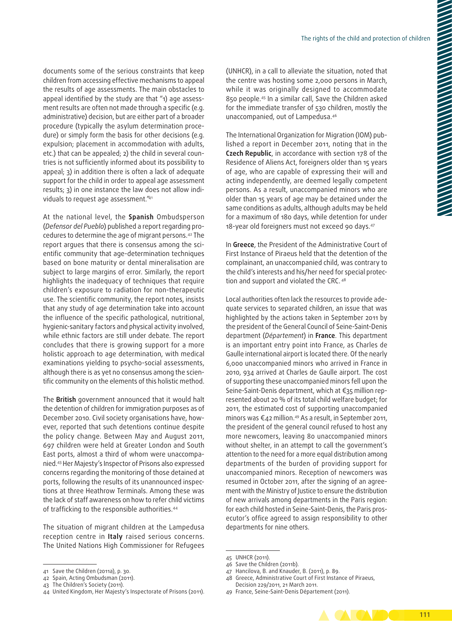documents some of the serious constraints that keep children from accessing effective mechanisms to appeal the results of age assessments. The main obstacles to appeal identified by the study are that "1) age assessment results are often not made through a specific (e.g. administrative) decision, but are either part of a broader procedure (typically the asylum determination procedure) or simply form the basis for other decisions (e.g. expulsion; placement in accommodation with adults, etc.) that can be appealed; 2) the child in several countries is not sufficiently informed about its possibility to appeal; 3) in addition there is often a lack of adequate support for the child in order to appeal age assessment results: 3) in one instance the law does not allow individuals to request age assessment."41

At the national level, the **Spanish** Ombudsperson (*Defensor del Pueblo*) published a report regarding pro‑ cedures to determine the age of migrant persons.42 The report argues that there is consensus among the scientific community that age‑determination techniques based on bone maturity or dental mineralisation are subject to large margins of error. Similarly, the report highlights the inadequacy of techniques that require children's exposure to radiation for non-therapeutic use. The scientific community, the report notes, insists that any study of age determination take into account the influence of the specific pathological, nutritional, hygienic‑sanitary factors and physical activity involved, while ethnic factors are still under debate. The report concludes that there is growing support for a more holistic approach to age determination, with medical examinations yielding to psycho-social assessments, although there is as yet no consensus among the scientific community on the elements of this holistic method.

The **British** government announced that it would halt the detention of children for immigration purposes as of December 2010. Civil society organisations have, however, reported that such detentions continue despite the policy change. Between May and August 2011, 697 children were held at Greater London and South East ports, almost a third of whom were unaccompanied.43 Her Majesty's Inspector of Prisons also expressed concerns regarding the monitoring of those detained at ports, following the results of its unannounced inspections at three Heathrow Terminals. Among these was the lack of staff awareness on how to refer child victims of trafficking to the responsible authorities.44

The situation of migrant children at the Lampedusa reception centre in **Italy** raised serious concerns. The United Nations High Commissioner for Refugees (UNHCR), in a call to alleviate the situation, noted that the centre was hosting some 2,000 persons in March, while it was originally designed to accommodate 850 people.45 In a similar call, Save the Children asked for the immediate transfer of 530 children, mostly the unaccompanied, out of Lampedusa.46

The International Organization for Migration (IOM) published a report in December 2011, noting that in the **Czech Republic**, in accordance with section 178 of the Residence of Aliens Act, foreigners older than 15 years of age, who are capable of expressing their will and acting independently, are deemed legally competent persons. As a result, unaccompanied minors who are older than 15 years of age may be detained under the same conditions as adults, although adults may be held for a maximum of 180 days, while detention for under 18-year old foreigners must not exceed 90 days.<sup>47</sup>

In **Greece**, the President of the Administrative Court of First Instance of Piraeus held that the detention of the complainant, an unaccompanied child, was contrary to the child's interests and his/her need for special protection and support and violated the CRC. 48

Local authorities often lack the resources to provide adequate services to separated children, an issue that was highlighted by the actions taken in September 2011 by the president of the General Council of Seine‑Saint‑Denis department (*Département*) in **France**. This department is an important entry point into France, as Charles de Gaulle international airport is located there. Of the nearly 6,000 unaccompanied minors who arrived in France in 2010, 934 arrived at Charles de Gaulle airport. The cost of supporting these unaccompanied minors fell upon the Seine-Saint-Denis department, which at €35 million represented about 20 % of its total child welfare budget; for 2011, the estimated cost of supporting unaccompanied minors was €42 million.49 As a result, in September 2011, the president of the general council refused to host any more newcomers, leaving 80 unaccompanied minors without shelter, in an attempt to call the government's attention to the need for a more equal distribution among departments of the burden of providing support for unaccompanied minors. Reception of newcomers was resumed in October 2011, after the signing of an agreement with the Ministry of Justice to ensure the distribution of new arrivals among departments in the Paris region: for each child hosted in Seine-Saint-Denis, the Paris prosecutor's office agreed to assign responsibility to other departments for nine others.

- 47 Hancilova, B. and Knauder, B. (2011), p. 89.
- 48 Greece, Administrative Court of First Instance of Piraeus, Decision 229/2011, 21 March 2011.

<sup>49</sup> France, Seine‑Saint‑Denis Département (2011).



<sup>41</sup> Save the Children (2011a), p. 30.

<sup>42</sup> Spain, Acting Ombudsman (2011).

<sup>43</sup> The Children's Society (2011).

<sup>44</sup> United Kingdom, Her Majesty's Inspectorate of Prisons (2011).

<sup>45</sup> UNHCR (2011).

<sup>46</sup> Save the Children (2011b).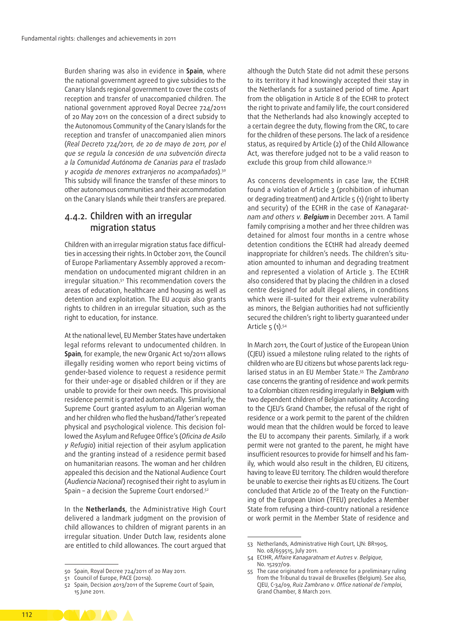Burden sharing was also in evidence in **Spain**, where the national government agreed to give subsidies to the Canary Islands regional government to cover the costs of reception and transfer of unaccompanied children. The national government approved Royal Decree 724/2011 of 20 May 2011 on the concession of a direct subsidy to the Autonomous Community of the Canary Islands for the reception and transfer of unaccompanied alien minors (*Real Decreto 724/2011, de 20 de mayo de 2011, por el que se regula la concesión de una subvención directa a la Comunidad Autónoma de Canarias para el traslado y acogida de menores extranjeros no acompañados*).50 This subsidy will finance the transfer of these minors to other autonomous communities and their accommodation on the Canary Islands while their transfers are prepared.

### 4.4.2. Children with an irregular migration status

Children with an irregular migration status face difficulties in accessing their rights.In October 2011, the Council of Europe Parliamentary Assembly approved a recommendation on undocumented migrant children in an irregular situation.51 This recommendation covers the areas of education, healthcare and housing as well as detention and exploitation. The EU *acquis* also grants rights to children in an irregular situation, such as the right to education, for instance.

At the national level, EU Member States have undertaken legal reforms relevant to undocumented children. In **Spain**, for example, the new Organic Act 10/2011 allows illegally residing women who report being victims of gender‑based violence to request a residence permit for their under-age or disabled children or if they are unable to provide for their own needs. This provisional residence permit is granted automatically. Similarly, the Supreme Court granted asylum to an Algerian woman and her children who fled the husband/father's repeated physical and psychological violence. This decision followed the Asylum and Refugee Office's (*Oficina de Asilo y Refugio*) initial rejection of their asylum application and the granting instead of a residence permit based on humanitarian reasons. The woman and her children appealed this decision and the National Audience Court (*Audiencia Nacional*) recognised their right to asylum in Spain – a decision the Supreme Court endorsed.52

In the **Netherlands**, the Administrative High Court delivered a landmark judgment on the provision of child allowances to children of migrant parents in an irregular situation. Under Dutch law, residents alone are entitled to child allowances. The court argued that

although the Dutch State did not admit these persons to its territory it had knowingly accepted their stay in the Netherlands for a sustained period of time. Apart from the obligation in Article 8 of the ECHR to protect the right to private and family life, the court considered that the Netherlands had also knowingly accepted to a certain degree the duty, flowing from the CRC, to care for the children of these persons. The lack of a residence status, as required by Article (2) of the Child Allowance Act, was therefore judged not to be a valid reason to exclude this group from child allowance.<sup>53</sup>

As concerns developments in case law, the ECtHR found a violation of Article 3 (prohibition of inhuman or degrading treatment) and Article 5 (1) (right to liberty and security) of the ECHR in the case of *Kanagarat‑ nam and others v*. **Belgium** in December 2011. A Tamil family comprising a mother and her three children was detained for almost four months in a centre whose detention conditions the ECtHR had already deemed inappropriate for children's needs. The children's situation amounted to inhuman and degrading treatment and represented a violation of Article 3. The ECtHR also considered that by placing the children in a closed centre designed for adult illegal aliens, in conditions which were ill-suited for their extreme vulnerability as minors, the Belgian authorities had not sufficiently secured the children's right to liberty guaranteed under Article 5 (1).<sup>54</sup>

In March 2011, the Court of Justice of the European Union (CJEU) issued a milestone ruling related to the rights of children who are EU citizens but whose parents lack regularised status in an EU Member State.55 The *Zambrano*  case concerns the granting of residence and work permits to a Colombian citizen residing irregularly in **Belgium** with two dependent children of Belgian nationality. According to the CJEU's Grand Chamber, the refusal of the right of residence or a work permit to the parent of the children would mean that the children would be forced to leave the EU to accompany their parents. Similarly, if a work permit were not granted to the parent, he might have insufficient resources to provide for himself and his family, which would also result in the children, EU citizens, having to leave EU territory. The children would therefore be unable to exercise their rights as EU citizens. The Court concluded that Article 20 of the Treaty on the Functioning of the European Union (TFEU) precludes a Member State from refusing a third‑country national a residence or work permit in the Member State of residence and



<sup>50</sup> Spain, Royal Decree 724/2011 of 20 May 2011.

<sup>51</sup> Council of Europe, PACE (2011a).

<sup>52</sup> Spain, Decision 4013/2011 of the Supreme Court of Spain, 15 June 2011.

<sup>53</sup> Netherlands, Administrative High Court*,* LJN: BR1905, No. 08/659515, July 2011.

<sup>54</sup> ECtHR, *Affaire Kanagaratnam et Autres v. Belgique*, No. 15297/09.

<sup>55</sup> The case originated from a reference for a preliminary ruling from the Tribunal du travail de Bruxelles (Belgium). See also, CJEU, C-34/09, *[Ruiz Zambrano v. Office national de l'emploi](http://curia.europa.eu/jcms/upload/docs/application/pdf/2011-03/cp110016en.pdf)*, [Grand Chamber, 8](http://curia.europa.eu/jcms/upload/docs/application/pdf/2011-03/cp110016en.pdf) March 2011.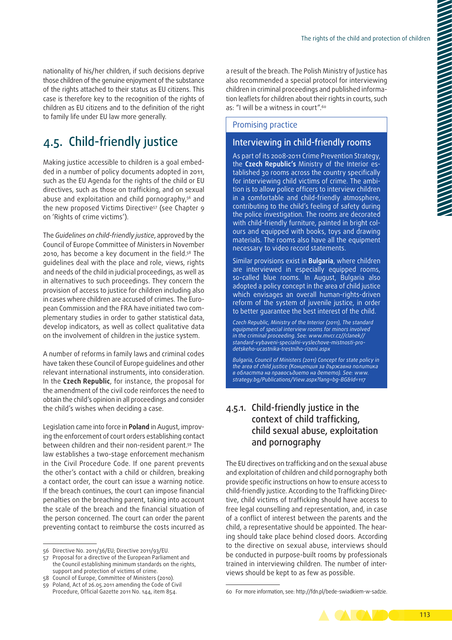nationality of his/her children, if such decisions deprive those children of the genuine enjoyment of the substance of the rights attached to their status as EU citizens. This case is therefore key to the recognition of the rights of children as EU citizens and to the definition of the right to family life under EU law more generally.

## 4.5. Child‑friendly justice

Making justice accessible to children is a goal embedded in a number of policy documents adopted in 2011, such as the EU Agenda for the rights of the child or EU directives, such as those on trafficking, and on sexual abuse and exploitation and child pornography,<sup>56</sup> and the new proposed Victims Directive<sup>57</sup> (see Chapter 9 on 'Rights of crime victims').

The *Guidelines on child‑friendly justice*, approved by the Council of Europe Committee of Ministers in November 2010, has become a key document in the field.58 The guidelines deal with the place and role, views, rights and needs of the child in judicial proceedings, as well as in alternatives to such proceedings. They concern the provision of access to justice for children including also in cases where children are accused of crimes. The European Commission and the FRA have initiated two com‑ plementary studies in order to gather statistical data, develop indicators, as well as collect qualitative data on the involvement of children in the justice system.

A number of reforms in family laws and criminal codes have taken these Council of Europe guidelines and other relevant international instruments, into consideration. In the **Czech Republic**, for instance, the proposal for the amendment of the civil code reinforces the need to obtain the child's opinion in all proceedings and consider the child's wishes when deciding a case.

Legislation came into force in **Poland** in August, improving the enforcement of court orders establishing contact between children and their non‑resident parent.59 The law establishes a two-stage enforcement mechanism in the Civil Procedure Code. If one parent prevents the other's contact with a child or children, breaking a contact order, the court can issue a warning notice. If the breach continues, the court can impose financial penalties on the breaching parent, taking into account the scale of the breach and the financial situation of the person concerned. The court can order the parent preventing contact to reimburse the costs incurred as a result of the breach. The Polish Ministry of Justice has also recommended a special protocol for interviewing children in criminal proceedings and published information leaflets for children about their rights in courts, such as: "I will be a witness in court".<sup>60</sup>

#### Promising practice

#### Interviewing in child‑friendly rooms

As part of its 2008-2011 Crime Prevention Strategy, the **Czech Republic's** Ministry of the Interior es‑ tablished 30 rooms across the country specifically for interviewing child victims of crime. The ambition is to allow police officers to interview children in a comfortable and child-friendly atmosphere, contributing to the child's feeling of safety during the police investigation. The rooms are decorated with child-friendly furniture, painted in bright colours and equipped with books, toys and drawing materials. The rooms also have all the equipment necessary to video record statements.

Similar provisions exist in **Bulgaria**, where children are interviewed in especially equipped rooms, so-called blue rooms. In August, Bulgaria also adopted a policy concept in the area of child justice which envisages an overall human-rights-driven reform of the system of juvenile justice, in order to better guarantee the best interest of the child.

*Czech Republic, Ministry of the Interior (2011), The standard equipment of special interview rooms for minors involved in the criminal proceeding. See: [www.mvcr.cz//clanek//](http://www.mvcr.cz//clanek//standard-vybaveni-specialni-vyslechove-mistnosti-pro-detskeho-ucastnika-trestniho-rizeni.aspx) [standard-vybaveni-specialni-vyslechove-mistnosti-pro](http://www.mvcr.cz//clanek//standard-vybaveni-specialni-vyslechove-mistnosti-pro-detskeho-ucastnika-trestniho-rizeni.aspx)[detskeho-ucastnika-trestniho-rizeni.aspx](http://www.mvcr.cz//clanek//standard-vybaveni-specialni-vyslechove-mistnosti-pro-detskeho-ucastnika-trestniho-rizeni.aspx)*

*Bulgaria, Council of Ministers (2011) Concept for state policy in the area of child justice (Концепция за държавна политика в областта на правосъдието на детето). See: [www.](http://www.strategy.bg/Publications/View.aspx?lang=bg<2011>BG&Id=117) [strategy.bg/Publications/View.aspx?lang=bg‑BG&Id=117](http://www.strategy.bg/Publications/View.aspx?lang=bg<2011>BG&Id=117)*

### 4.5.1. Child‑friendly justice in the context of child trafficking, child sexual abuse, exploitation and pornography

The EU directives on trafficking and on the sexual abuse and exploitation of children and child pornography both provide specific instructions on how to ensure access to child-friendly justice. According to the Trafficking Directive, child victims of trafficking should have access to free legal counselling and representation, and, in case of a conflict of interest between the parents and the child, a representative should be appointed. The hearing should take place behind closed doors. According to the directive on sexual abuse, interviews should be conducted in purpose-built rooms by professionals trained in interviewing children. The number of interviews should be kept to as few as possible.

113

<sup>56</sup> [Directive No. 2011/36/EU;](http://eur-lex.europa.eu/LexUriServ/LexUriServ.do?uri=OJ:L:2011:101:0001:0011:EN:PDF) Directive 2011/93/EU.

<sup>57</sup> Proposal for a directive of the European Parliament and the Council establishing minimum standards on the rights, support and protection of victims of crime.

<sup>58</sup> Council of Europe, Committee of Ministers (2010).

<sup>59</sup> Poland, Act of 26.05.2011 amending the Code of Civil Procedure, Official Gazette 2011 No. 144, item 854.

<sup>60</sup> For more information, see:<http://fdn.pl/bede-swiadkiem-w-sadzie>.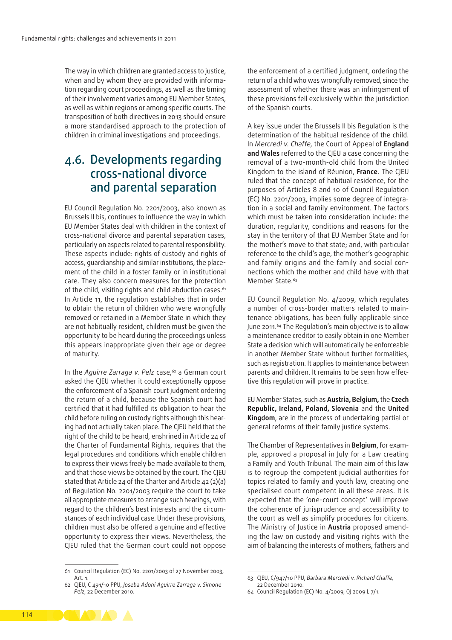The way in which children are granted access to justice, when and by whom they are provided with information regarding court proceedings, as well as the timing of their involvement varies among EU Member States, as well as within regions or among specific courts. The transposition of both directives in 2013 should ensure a more standardised approach to the protection of children in criminal investigations and proceedings.

## 4.6. Developments regarding cross‑national divorce and parental separation

EU Council Regulation No. 2201/2003, also known as Brussels II bis, continues to influence the way in which EU Member States deal with children in the context of cross‑national divorce and parental separation cases, particularly on aspects related to parental responsibility. These aspects include: rights of custody and rights of access, quardianship and similar institutions, the placement of the child in a foster family or in institutional care. They also concern measures for the protection of the child, visiting rights and child abduction cases.<sup>61</sup> In Article 11, the regulation establishes that in order to obtain the return of children who were wrongfully removed or retained in a Member State in which they are not habitually resident, children must be given the opportunity to be heard during the proceedings unless this appears inappropriate given their age or degree of maturity.

In the *Aguirre Zarraga v. Pelz* case,<sup>62</sup> a German court asked the CJEU whether it could exceptionally oppose the enforcement of a Spanish court judgment ordering the return of a child, because the Spanish court had certified that it had fulfilled its obligation to hear the child before ruling on custody rights although this hearing had not actually taken place. The CJEU held that the right of the child to be heard, enshrined in Article 24 of the Charter of Fundamental Rights, requires that the legal procedures and conditions which enable children to express their views freely be made available to them, and that those views be obtained by the court. The CJEU stated that Article 24 of the Charter and Article 42 (2)(a) of Regulation No. 2201/2003 require the court to take all appropriate measures to arrange such hearings, with regard to the children's best interests and the circumstances of each individual case. Under these provisions, children must also be offered a genuine and effective opportunity to express their views. Nevertheless, the CJEU ruled that the German court could not oppose

the enforcement of a certified judgment, ordering the return of a child who was wrongfully removed, since the assessment of whether there was an infringement of these provisions fell exclusively within the jurisdiction of the Spanish courts.

A key issue under the Brussels II bis Regulation is the determination of the habitual residence of the child. In *Mercredi v. Chaffe*, the Court of Appeal of **England and Wales** referred to the CJEU a case concerning the removal of a two‑month‑old child from the United Kingdom to the island of Réunion, **France**. The CJEU ruled that the concept of habitual residence, for the purposes of Articles 8 and 10 of Council Regulation (EC) No. 2201/2003, implies some degree of integration in a social and family environment. The factors which must be taken into consideration include: the duration, regularity, conditions and reasons for the stay in the territory of that EU Member State and for the mother's move to that state; and, with particular reference to the child's age, the mother's geographic and family origins and the family and social connections which the mother and child have with that Member State.<sup>63</sup>

EU Council Regulation No. 4/2009, which regulates a number of cross-border matters related to maintenance obligations, has been fully applicable since June 2011.<sup>64</sup> The Regulation's main objective is to allow a maintenance creditor to easily obtain in one Member State a decision which will automatically be enforceable in another Member State without further formalities, such as registration. It applies to maintenance between parents and children. It remains to be seen how effective this regulation will prove in practice.

EU Member States, such as **Austria, Belgium,** the **Czech Republic, Ireland, Poland, Slovenia** and the **United Kingdom**, are in the process of undertaking partial or general reforms of their family justice systems.

The Chamber of Representatives in **Belgium**, for example, approved a proposal in July for a Law creating a Family and Youth Tribunal. The main aim of this law is to regroup the competent judicial authorities for topics related to family and youth law, creating one specialised court competent in all these areas. It is expected that the 'one‑court concept' will improve the coherence of jurisprudence and accessibility to the court as well as simplify procedures for citizens. The Ministry of Justice in **Austria** proposed amend‑ ing the law on custody and visiting rights with the aim of balancing the interests of mothers, fathers and



<sup>61</sup> Council Regulation (EC) [No. 2201/2003 of 27](http://eur-lex.europa.eu/LexUriServ/LexUriServ.do?uri=OJ:L:2003:338:0001:0029:EN:PDF) November 2003, Art. 1.

<sup>62</sup> CJEU, C 491/10 PPU, *Joseba Adoni Aguirre Zarraga v. Simone Pelz*, 22 December 2010.

<sup>63</sup> CJEU, C/947/10 PPU, *Barbara Mercredi v. Richard Chaffe,*  22 December 2010.

<sup>64</sup> Council Regulation (EC) No. 4/2009, OJ 2009 L 7/1.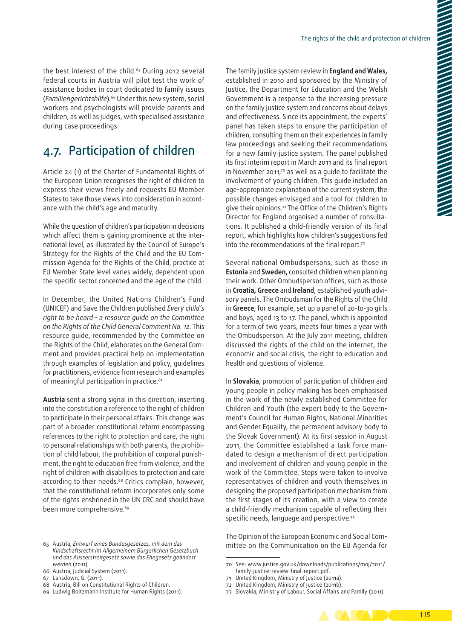the best interest of the child.<sup>65</sup> During 2012 several federal courts in Austria will pilot test the work of assistance bodies in court dedicated to family issues (*Familiengerichtshilfe*)*.* 66 Under this new system, social workers and psychologists will provide parents and children, as well as judges, with specialised assistance during case proceedings.

## 4.7. Participation of children

Article 24 (1) of the Charter of Fundamental Rights of the European Union recognises the right of children to express their views freely and requests EU Member States to take those views into consideration in accordance with the child's age and maturity.

While the question of children's participation in decisions which affect them is gaining prominence at the international level, as illustrated by the Council of Europe's Strategy for the Rights of the Child and the EU Commission Agenda for the Rights of the Child, practice at EU Member State level varies widely, dependent upon the specific sector concerned and the age of the child.

In December, the United Nations Children's Fund (UNICEF) and Save the Children published *Every child's right to be heard – a resource guide on the Committee on the Rights of the Child General Comment No. 12*. This resource guide, recommended by the Committee on the Rights of the Child, elaborates on the General Comment and provides practical help on implementation through examples of legislation and policy, guidelines for practitioners, evidence from research and examples of meaningful participation in practice.<sup>67</sup>

**Austria** sent a strong signal in this direction, inserting into the constitution a reference to the right of children to participate in their personal affairs. This change was part of a broader constitutional reform encompassing references to the right to protection and care, the right to personal relationships with both parents, the prohibition of child labour, the prohibition of corporal punishment, the right to education free from violence, and the right of children with disabilities to protection and care according to their needs.<sup>68</sup> Critics complain, however, that the constitutional reform incorporates only some of the rights enshrined in the UN CRC and should have been more comprehensive.<sup>69</sup>

The family justice system review in **England and Wales,** established in 2010 and sponsored by the Ministry of Justice, the Department for Education and the Welsh Government is a response to the increasing pressure on the family justice system and concerns about delays and effectiveness. Since its appointment, the experts' panel has taken steps to ensure the participation of children, consulting them on their experiences in family law proceedings and seeking their recommendations for a new family justice system. The panel published its first interim report in March 2011 and its final report in November 2011,<sup>70</sup> as well as a quide to facilitate the involvement of young children. This guide included an age‑appropriate explanation of the current system, the possible changes envisaged and a tool for children to give their opinions.71 The Office of the Children's Rights Director for England organised a number of consultations. It published a child‑friendly version of its final report, which highlights how children's suggestions fed into the recommendations of the final report.72

Several national Ombudspersons, such as those in **Estonia** and **Sweden,** consulted children when planning their work. Other Ombudsperson offices, such as those in **Croatia, Greece** and **Ireland**, established youth advisory panels. The Ombudsman for the Rights of the Child in **Greece**, for example, set up a panel of 20-to-30 girls and boys, aged 13 to 17. The panel, which is appointed for a term of two years, meets four times a year with the Ombudsperson. At the July 2011 meeting, children discussed the rights of the child on the internet, the economic and social crisis, the right to education and health and questions of violence.

In **Slovakia**, promotion of participation of children and young people in policy making has been emphasised in the work of the newly established Committee for Children and Youth (the expert body to the Govern‑ ment's Council for Human Rights, National Minorities and Gender Equality, the permanent advisory body to the Slovak Government). At its first session in August 2011, the Committee established a task force man‑ dated to design a mechanism of direct participation and involvement of children and young people in the work of the Committee. Steps were taken to involve representatives of children and youth themselves in designing the proposed participation mechanism from the first stages of its creation, with a view to create a child‑friendly mechanism capable of reflecting their specific needs, language and perspective.73

The Opinion of the European Economic and Social Committee on the Communication on the EU Agenda for

<sup>73</sup> Slovakia, Ministry of Labour, Social Affairs and Family (2011).



<sup>65</sup> Austria, *Entwurf eines Bundesgesetzes, mit dem das Kindschaftsrecht im Allgemeinem Bürgerlichen Gesetzbuch und das Ausserstreitgesetz sowie das Ehegesetz geändert werden* (2011).

<sup>66</sup> Austria, Judicial System (2011).

<sup>67</sup> Lansdown, G. (2011).

<sup>68</sup> Austria, Bill on Constitutional Rights of Children.

<sup>69</sup> Ludwig Boltzmann Institute for Human Rights (2011).

<sup>70</sup> See: [www.justice.gov.uk/downloads/publications/moj/2011/](http://www.justice.gov.uk/downloads/publications/moj/2011/family<2011>justice<2011>review<2011>final<2011>report.pdf) [family‑justice‑review‑final‑report.pdf](http://www.justice.gov.uk/downloads/publications/moj/2011/family<2011>justice<2011>review<2011>final<2011>report.pdf).

<sup>71</sup> United Kingdom, Ministry of Justice (2011a).

<sup>72</sup> United Kingdom, Ministry of Justice (2011b).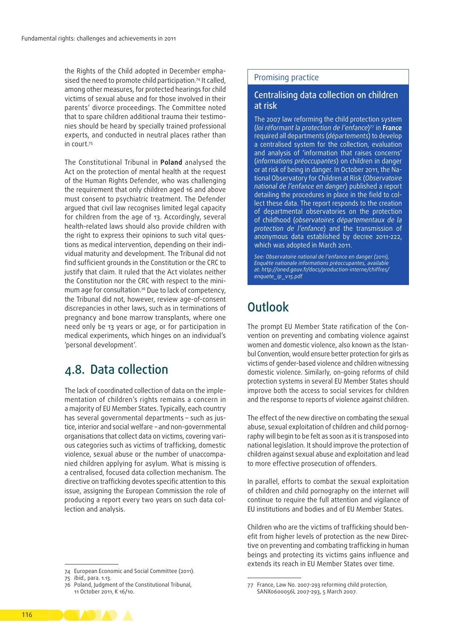the Rights of the Child adopted in December emphasised the need to promote child participation.74 It called, among other measures, for protected hearings for child victims of sexual abuse and for those involved in their parents' divorce proceedings. The Committee noted that to spare children additional trauma their testimonies should be heard by specially trained professional experts, and conducted in neutral places rather than in court.75

The Constitutional Tribunal in **Poland** analysed the Act on the protection of mental health at the request of the Human Rights Defender, who was challenging the requirement that only children aged 16 and above must consent to psychiatric treatment. The Defender argued that civil law recognises limited legal capacity for children from the age of 13. Accordingly, several health‑related laws should also provide children with the right to express their opinions to such vital questions as medical intervention, depending on their individual maturity and development. The Tribunal did not find sufficient grounds in the Constitution or the CRC to justify that claim. It ruled that the Act violates neither the Constitution nor the CRC with respect to the minimum age for consultation.76 Due to lack of competency, the Tribunal did not, however, review age‑of‑consent discrepancies in other laws, such as in terminations of pregnancy and bone marrow transplants, where one need only be 13 years or age, or for participation in medical experiments, which hinges on an individual's 'personal development'.

## 4.8. Data collection

The lack of coordinated collection of data on the implementation of children's rights remains a concern in a majority of EU Member States. Typically, each country has several governmental departments - such as justice, interior and social welfare – and non‑governmental organisations that collect data on victims, covering various categories such as victims of trafficking, domestic violence, sexual abuse or the number of unaccompanied children applying for asylum. What is missing is a centralised, focused data collection mechanism. The directive on trafficking devotes specific attention to this issue, assigning the European Commission the role of producing a report every two years on such data collection and analysis.

#### Promising practice

#### Centralising data collection on children at risk

The 2007 law reforming the child protection system (*loi réformant la protection de l'enfance*)77 in **France** required all departments (*départements*) to develop a centralised system for the collection, evaluation and analysis of 'information that raises concerns' (*informations préoccupantes*) on children in danger or at risk of being in danger. In October 2011, the National Observatory for Children at Risk (*[Observatoire](http://www.oned.gouv.fr/)  [national de l'enfance en danger](http://www.oned.gouv.fr/)*) published a report detailing the procedures in place in the field to collect these data. The report responds to the creation of departmental observatories on the protection of childhood (*observatoires départementaux de la protection de l'enfance*) and the transmission of anonymous data established by decree 2011-222, which was adopted in March 2011.

*See: Observatoire national de l'enfance en danger (2011), Enquête nationale informations préoccupantes, available at: [http://oned.gouv.fr/docs/production‑interne/chiffres/](http://oned.gouv.fr/docs/production-interne/chiffres/enquete_ip_v15.pdf%20) [enquete\\_ip\\_v15.pdf](http://oned.gouv.fr/docs/production-interne/chiffres/enquete_ip_v15.pdf%20)*

## **Outlook**

The prompt EU Member State ratification of the Convention on preventing and combating violence against women and domestic violence, also known as the Istanbul Convention, would ensure better protection for girls as victims of gender-based violence and children witnessing domestic violence. Similarly, on‑going reforms of child protection systems in several EU Member States should improve both the access to social services for children and the response to reports of violence against children.

The effect of the new directive on combating the sexual abuse, sexual exploitation of children and child pornography will begin to be felt as soon as it is transposed into national legislation. It should improve the protection of children against sexual abuse and exploitation and lead to more effective prosecution of offenders.

In parallel, efforts to combat the sexual exploitation of children and child pornography on the internet will continue to require the full attention and vigilance of EU institutions and bodies and of EU Member States.

Children who are the victims of trafficking should benefit from higher levels of protection as the new Directive on preventing and combating trafficking in human beings and protecting its victims gains influence and extends its reach in EU Member States over time.



<sup>74</sup> European Economic and Social Committee (2011).

<sup>75</sup> *Ibid.,* para. 1.13.

<sup>76</sup> Poland, Judgment of the Constitutional Tribunal, 11 October 2011, K 16/10.

<sup>77</sup> France, Law No. 2007-293 reforming child protection, SANX0600056L 2007-293, 5 March 2007.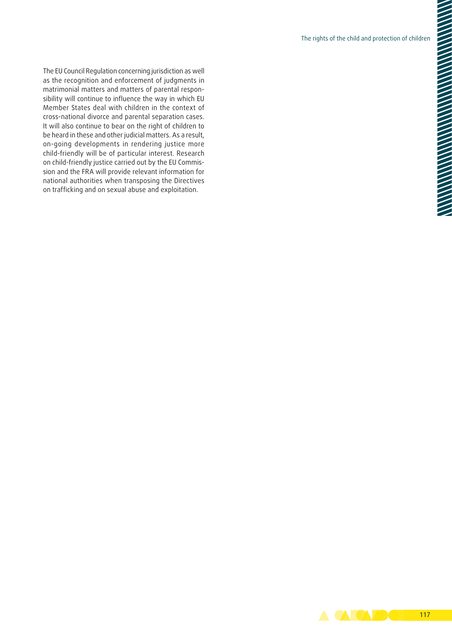The EU Council Regulation concerning jurisdiction as well as the recognition and enforcement of judgments in matrimonial matters and matters of parental responsibility will continue to influence the way in which EU Member States deal with children in the context of cross‑national divorce and parental separation cases. It will also continue to bear on the right of children to be heard in these and other judicial matters. As a result, on‑going developments in rendering justice more child-friendly will be of particular interest. Research on child-friendly justice carried out by the EU Commission and the FRA will provide relevant information for national authorities when transposing the Directives on trafficking and on sexual abuse and exploitation.

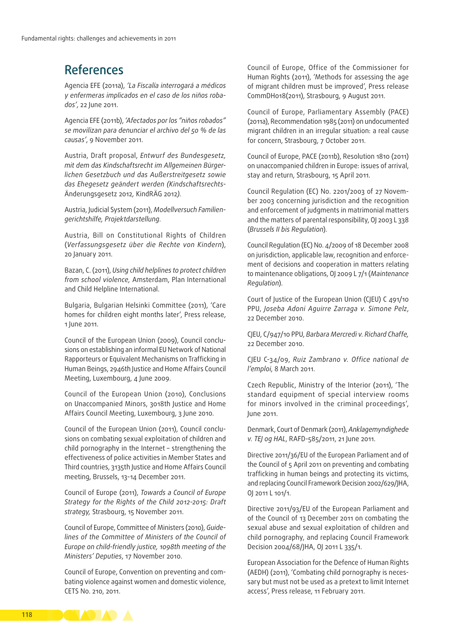## References

Agencia EFE (2011a), *'La Fiscalía interrogará a médicos y enfermeras implicados en el caso de los niños roba‑ dos'*, 22 June 2011.

Agencia EFE (2011b), *'Afectados por los "niños robados" se movilizan para denunciar el archivo del 50 % de las causas'*, 9 November 2011.

Austria, Draft proposal, *Entwurf des Bundesgesetz, mit dem das Kindschaftsrecht im Allgemeinen Bürger‑ lichen Gesetzbuch und das Außerstreitgesetz sowie das Ehegesetz geändert werden (Kindschaftsrechts‑* Änderungsgesetz 2012*,* KindRÄG 2012*)*.

Austria, Judicial System (2011), *Modellversuch Familien‑ gerichtshilfe, Projektdarstellung*.

Austria, Bill on Constitutional Rights of Children (*Verfassungsgesetz über die Rechte von Kindern*), 20 January 2011.

Bazan, C. (2011), *Using child helplines to protect children from school violence,* Amsterdam, Plan International and Child Helpline International.

Bulgaria, Bulgarian Helsinki Committee (2011), '[Care](http://old.bghelsinki.org/index.php?module=news&lg=en&id=4265.)  [homes for children eight months later',](http://old.bghelsinki.org/index.php?module=news&lg=en&id=4265.) Press release, 1 June 2011.

Council of the European Union (2009), Council conclusions on establishing an informal EU Network of National Rapporteurs or Equivalent Mechanisms on Trafficking in Human Beings, 2946th Justice and Home Affairs Council Meeting, Luxembourg, 4 June 2009.

Council of the European Union (2010), Conclusions on Unaccompanied Minors, 3018th Justice and Home Affairs Council Meeting, Luxembourg, 3 June 2010.

Council of the European Union (2011), Council conclusions on combating sexual exploitation of children and child pornography in the Internet – strengthening the effectiveness of police activities in Member States and Third countries, 3135th Justice and Home Affairs Council meeting, Brussels, 13-14 December 2011.

Council of Europe (2011), *Towards a Council of Europe Strategy for the Rights of the Child 2012-2015: Draft strategy,* Strasbourg, 15 November 2011.

Council of Europe, Committee of Ministers (2010), *Guide‑ lines of the Committee of Ministers of the Council of Europe on child‑friendly justice, 1098th meeting of the Ministers' Deputies*, 17 November 2010.

Council of Europe, Convention on preventing and com[bating violence against women and domestic violence](https://wcd.coe.int/ViewDoc.jsp?id=1772191), CETS No. 210, 2011.

Council of Europe, Office of the Commissioner for Human Rights (2011), 'Methods for assessing the age of migrant children must be improved', Press release CommDH018(2011), Strasbourg, 9 August 2011.

Council of Europe, Parliamentary Assembly (PACE) (2011a), Recommendation 1985 (2011) on undocumented migrant children in an irregular situation: a real cause for concern, Strasbourg, 7 October 2011.

Council of Europe, PACE (2011b), Resolution 1810 (2011) on unaccompanied children in Europe: issues of arrival, stay and return, Strasbourg, 15 April 2011.

Council Regulation (EC) [No. 2201/2003 of 27](http://eur-lex.europa.eu/LexUriServ/LexUriServ.do?uri=OJ:L:2003:338:0001:0029:EN:PDF) November [2003](http://eur-lex.europa.eu/LexUriServ/LexUriServ.do?uri=OJ:L:2003:338:0001:0029:EN:PDF) concerning jurisdiction and the recognition and enforcement of judgments in matrimonial matters and the matters of parental responsibility, OJ 2003 L 338 (*Brussels II bis Regulation*).

Council Regulation (EC) No. 4/2009 of 18 December 2008 on jurisdiction, applicable law, recognition and enforcement of decisions and cooperation in matters relating to maintenance obligations, OJ 2009 L 7/1 (*Maintenance Regulation*).

Court of Justice of the European Union (CJEU) C 491/10 PPU, *Joseba Adoni Aguirre Zarraga v. Simone Pelz*, 22 December 2010.

CJEU, C/947/10 PPU, *Barbara Mercredi v. Richard Chaffe,*  22 December 2010.

CJEU C-34/09, *[Ruiz Zambrano v. Office national de](http://curia.europa.eu/jcms/upload/docs/application/pdf/2011-03/cp110016en.pdf)  [l'emploi](http://curia.europa.eu/jcms/upload/docs/application/pdf/2011-03/cp110016en.pdf)*, 8 March 2011.

Czech Republic, Ministry of the Interior (2011), '[The](http://www.mvcr.cz/clanek/standard-vybaveni-specialni-vyslechove-mistnosti-pro-detskeho-ucastnika-trestniho-rizeni.aspx)  [standard equipment of special interview rooms](http://www.mvcr.cz/clanek/standard-vybaveni-specialni-vyslechove-mistnosti-pro-detskeho-ucastnika-trestniho-rizeni.aspx)  [for minors involved in the criminal proceedings'](http://www.mvcr.cz/clanek/standard-vybaveni-specialni-vyslechove-mistnosti-pro-detskeho-ucastnika-trestniho-rizeni.aspx), June 2011.

Denmark, Court of Denmark (2011), *Anklagemyndighede v. TEJ og HAL*, RAFD-585/2011, 21 June 2011.

Directive 2011/36/EU of the European Parliament and of the Council of 5 April 2011 on preventing and combating trafficking in human beings and protecting its victims, and replacing Council Framework Decision 2002/629/JHA, OJ 2011 L 101/1.

Directive 2011/93/EU of the European Parliament and of the Council of 13 December 2011 on combating the sexual abuse and sexual exploitation of children and child pornography, and replacing Council Framework Decision 2004/68/JHA, OJ 2011 L 335/1.

European Association for the Defence of Human Rights (AEDH) (2011), 'Combating child pornography is necessary but must not be used as a pretext to limit Internet access', Press release, 11 February 2011.

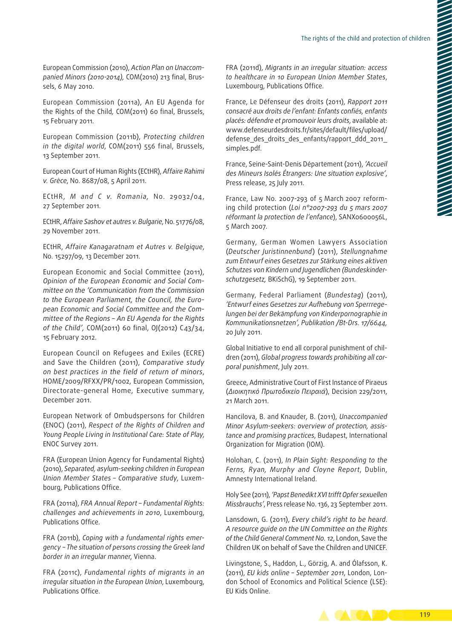European Commission (2010), *Action Plan on Unaccom‑ panied Minors (2010-2014),* COM(2010) 213 final, Brus‑ sels, 6 May 2010.

European Commission (2011a), An EU Agenda for the Rights of the Child*,* COM(2011) 60 final, Brussels, 15 February 2011.

European Commission (2011b), *Protecting children in the digital world*, COM(2011) 556 final, Brussels, 13 September 2011.

European Court of Human Rights (ECtHR), *Affaire Rahimi v. Grèce*, No. 8687/08, 5 April 2011.

ECtHR, *M and C v. Romania,* No. 29032/04, 27 September 2011.

ECtHR, *Affaire Sashov et autres v. Bulgarie*, No. 51776/08, 29 November 2011.

ECtHR, *Affaire Kanagaratnam et Autres v. Belgique*, No. 15297/09, 13 December 2011.

European Economic and Social Committee (2011), *Opinion of the European Economic and Social Com‑ mittee on the 'Communication from the Commission to the European Parliament, the Council, the Euro‑ pean Economic and Social Committee and the Com‑ mittee of the Regions – An EU Agenda for the Rights of the Child',* COM(2011) 60 final, OJ(2012) C43/34, 15 February 2012.

European Council on Refugees and Exiles (ECRE) and Save the Children (2011), *Comparative study on best practices in the field of return of minors*, HOME/2009/RFXX/PR/1002, European Commission, Directorate‑general Home, Executive summary, December 2011.

European Network of Ombudspersons for Children (ENOC) (2011), *Respect of the Rights of Children and Young People Living in Institutional Care: State of Play*, ENOC Survey 2011.

FRA (European Union Agency for Fundamental Rights) (2010), *Separated, asylum‑seeking children in European Union Member States – Comparative study*, Luxem‑ bourg, Publications Office.

FRA (2011a), *FRA Annual Report – Fundamental Rights: challenges and achievements in 2010*, Luxembourg, Publications Office.

FRA (2011b), *Coping with a fundamental rights emer‑ gency – The situation of persons crossing the Greek land border in an irregular manner*, Vienna.

FRA (2011c), *[Fundamental rights of migrants in an](http://fra.europa.eu/fraWebsite/research/publications/publications_per_year/pub-migrants-in-an-irregular-situation_en.htm) [irregular situation in the European Union](http://fra.europa.eu/fraWebsite/research/publications/publications_per_year/pub-migrants-in-an-irregular-situation_en.htm)*, Luxembourg, Publications Office.

FRA (2011d), *[Migrants in an irregular situation: access](http://fra.europa.eu/fraWebsite/attachments/FRA-2011-fundamental-rights-for-irregular-migrants-healthcare_EN.pdf) [to healthcare in 10 European Union Member States](http://fra.europa.eu/fraWebsite/attachments/FRA-2011-fundamental-rights-for-irregular-migrants-healthcare_EN.pdf)*, Luxembourg, Publications Office.

France, Le Défenseur des droits (2011), *Rapport 2011 consacré aux droits de l'enfant: Enfants confiés, enfants placés: défendre et promouvoir leurs droits*, available at: [www.defenseurdesdroits.fr/sites/default/files/upload/](http://www.defenseurdesdroits.fr/sites/default/files/upload/defense_des_droits_des_enfants/rapport_ddd_2011_simples.pdf) defense des droits des enfants/rapport ddd 2011 [simples.pdf.](http://www.defenseurdesdroits.fr/sites/default/files/upload/defense_des_droits_des_enfants/rapport_ddd_2011_simples.pdf)

France, Seine‑Saint‑Denis Département (2011), *'Accueil des Mineurs Isolés Étrangers: Une situation explosive'*, Press release, 25 July 2011.

France, Law No. 2007-293 of 5 March 2007 reforming child protection (*Loi n°2007-293 du 5 mars 2007 réformant la protection de l'enfance*), SANX0600056L, 5 March 2007.

Germany, German Women Lawyers Association (*Deutscher Juristinnenbund*) (2011), *[Stellungnahme](http://www.djb.de/Kom/K4/st11-09/) [zum Entwurf eines Gesetzes zur Stärkung eines aktiven](http://www.djb.de/Kom/K4/st11-09/) [Schutzes von Kindern und Jugendlichen \(Bundeskinder‑](http://www.djb.de/Kom/K4/st11-09/) [schutzgesetz,](http://www.djb.de/Kom/K4/st11-09/)* BKiSchG), 19 September 2011.

Germany, Federal Parliament (*Bundestag*) (2011), *'Entwurf eines Gesetzes zur Aufhebung von Sperrrege‑ lungen bei der Bekämpfung von Kinderpornographie in Kommunikationsnetzen', Publikation /Bt‑Drs. 17/6644,* 20 July 2011.

Global Initiative to end all corporal punishment of children (2011), *Global progress towards prohibiting all cor‑ poral punishment*, July 2011.

Greece, Administrative Court of First Instance of Piraeus (*Διοικητικό Πρωτοδικείο Πειραιά*), Decision 229/2011, 21 March 2011.

Hancilova, B. and Knauder, B. (2011), *Unaccompanied Minor Asylum‑seekers: overview of protection, assis‑ tance and promising practices*, Budapest, International Organization for Migration (IOM).

Holohan, C. (2011), *[In Plain Sight: Responding to the](http://www.amnesty.ie/sites/default/files/file/INPLAINSIGHT_28_11_11_SINGLE_PAGES.pdf) [Ferns, Ryan, Murphy and Cloyne Report](http://www.amnesty.ie/sites/default/files/file/INPLAINSIGHT_28_11_11_SINGLE_PAGES.pdf)*, Dublin, Amnesty International Ireland.

Holy See (2011), *'Papst Benedikt XVI trifft Opfer sexuellen Missbrauchs'*, Press release No. 136, 23 September 2011.

Lansdown, G. (2011), *Every child's right to be heard*. *A resource guide on the UN Committee on the Rights of the Child General Comment No. 12*, London, Save the Children UK on behalf of Save the Children and UNICEF.

Livingstone, S., Haddon, L., Görzig, A. and Ólafsson, K. (2011), *EU kids online – September 2011*, London, Lon‑ don School of Economics and Political Science (LSE): EU Kids Online.

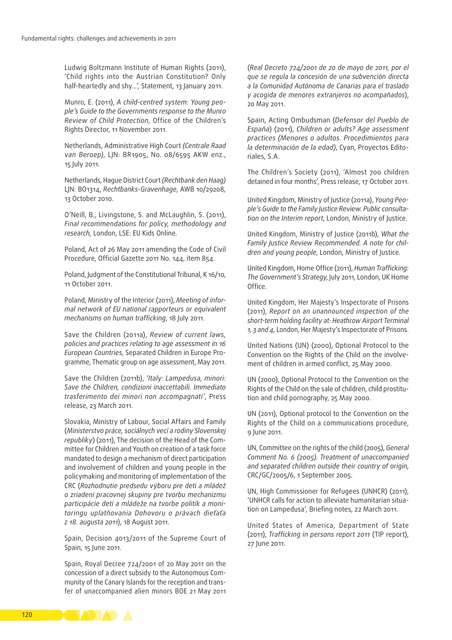Ludwig Boltzmann Institute of Human Rights (2011), 'Child rights into the Austrian Constitution? Only half-heartedly and shy...', Statement, 13 January 2011.

Munro, E. (2011), *A child‑centred system: Young peo‑ ple's Guide to the Governments response to the Munro Review of Child Protection*, Office of the Children's Rights Director, 11 November 2011.

Netherlands, Administrative High Court *(Centrale Raad van Beroep)*, LJN: BR1905, No. 08/6595 AKW enz., 15 July 2011.

Netherlands, Hague District Court *(Rechtbank den Haag)* LJN: BO1314, *Rechtbanks‑Gravenhage*, AWB 10/29208*,*  13 October 2010.

O'Neill, B., Livingstone, S. and McLaughlin, S. (2011), *Final recommendations for policy, methodology and research,* London, LSE: EU Kids Online*.*

Poland, Act of 26 May 2011 amending the Code of Civil Procedure, Official Gazette 2011 No. 144, item 854.

Poland, Judgment of the Constitutional Tribunal, K 16/10, 11 October 2011.

Poland, Ministry of the Interior (2011), *Meeting of infor‑ mal network of EU national rapporteurs or equivalent mechanisms on human trafficking*, 18 July 2011.

Save the Children (2011a), *Review of current laws, policies and practices relating to age assessment in 16 European Countries*, Separated Children in Europe Pro‑ gramme, Thematic group on age assessment, May 2011.

Save the Children (2011b), *'Italy: Lampedusa, minori: Save the Children, condizioni inaccettabili. Immediato trasferimento dei minori non accompagnati'*, Press release, 23 March 2011.

Slovakia, Ministry of Labour, Social Affairs and Family (*Ministerstvo práce, sociálnych vecí a rodiny Slovenskej*  republiky) (2011), The decision of the Head of the Committee for Children and Youth on creation of a task force mandated to design a mechanism of direct participation and involvement of children and young people in the policymaking and monitoring of implementation of the CRC (*Rozhodnutie predsedu výboru pre deti a mládež o zriadení pracovnej skupiny pre tvorbu mechanizmu participácie detí a mládeže na tvorbe politík a moni‑ toringu uplatňovania Dohovoru o právach dieťaťa z 18. augusta 2011*), 18 August 2011.

Spain, Decision 4013/2011 of the Supreme Court of Spain, 15 June 2011.

Spain, Royal Decree 724/2001 of 20 May 2011 on the concession of a direct subsidy to the Autonomous Com‑ munity of the Canary Islands for the reception and trans‑ fer of unaccompanied alien minors BOE 21 May 2011

(*Real Decreto 724/2001 de 20 de mayo de 2011, por el que se regula la concesión de una subvención directa a la Comunidad Autónoma de Canarias para el traslado y acogida de menores extranjeros no acompañados*), 20 May 2011.

Spain, Acting Ombudsman (*Defensor del Pueblo de España*) (2011), *Children or adults? Age assessment practices [\(Menores o adultos. Procedimientos para](http://www.defensordelpueblo.es/es/Documentacion/Publicaciones/monografico/contenido_1317196672531.html)  [la determinación de la edad](http://www.defensordelpueblo.es/es/Documentacion/Publicaciones/monografico/contenido_1317196672531.html))*, Cyan, Proyectos Edito‑ riales, S.A.

The Children's Society (2011), 'Almost 700 children detained in four months', Press release, 17 October 2011.

United Kingdom, Ministry of Justice (2011a), *Young Peo‑ ple's Guide to the Family Justice Review. Public consulta‑ tion on the Interim report*, London, Ministry of Justice.

United Kingdom, Ministry of Justice (2011b), *What the Family Justice Review Recommended. A note for chil‑ dren and young people*, London, Ministry of Justice.

United Kingdom, Home Office (2011), *Human Trafficking: The Government's Strategy*, July 2011, London, UK Home Office.

United Kingdom, Her Majesty's Inspectorate of Prisons (2011), *Report on an unannounced inspection of the short‑term holding facility at: Heathrow Airport Terminal 1, 3 and 4,* London, Her Majesty's Inspectorate of Prisons.

United Nations (UN) (2000), Optional Protocol to the Convention on the Rights of the Child on the involvement of children in armed conflict, 25 May 2000.

UN (2000), Optional Protocol to the Convention on the Rights of the Child on the sale of children, child prostitution and child pornography, 25 May 2000.

UN (2011), Optional protocol to the Convention on the Rights of the Child on a communications procedure, 9 June 2011.

UN, Committee on the rights of the child (2005), *General Comment No. 6 (2005). Treatment of unaccompanied and separated children outside their country of origin*, CRC/GC/2005/6, 1 September 2005.

UN, High Commissioner for Refugees (UNHCR) (2011), 'UNHCR calls for action to alleviate humanitarian situa[tion on Lampedusa](http://www.unhcr.org/refworld/docid/4d88a69c2.html)', Briefing notes, 22 March 2011.

United States of America, Department of State (2011), *Trafficking in persons report 2011* (TIP report), 27 June 2011.